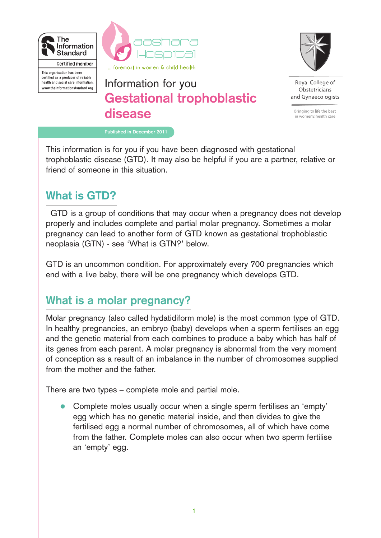

health and social care information.

www.theinformationstandard.org



# **Gestational trophoblastic disease** Information for you



Roval College of Obstetricians and Gynaecologists

Bringing to life the best in women's health care

**Published in December 2011**

This information is for you if you have been diagnosed with gestational trophoblastic disease (GTD). It may also be helpful if you are a partner, relative or friend of someone in this situation.

### **What is GTD?**

GTD is a group of conditions that may occur when a pregnancy does not develop properly and includes complete and partial molar pregnancy. Sometimes a molar pregnancy can lead to another form of GTD known as gestational trophoblastic neoplasia (GTN) - see 'What is GTN?' below.

GTD is an uncommon condition. For approximately every 700 pregnancies which end with a live baby, there will be one pregnancy which develops GTD.

### **What is a molar pregnancy?**

Molar pregnancy (also called hydatidiform mole) is the most common type of GTD. In healthy pregnancies, an embryo (baby) develops when a sperm fertilises an egg and the genetic material from each combines to produce a baby which has half of its genes from each parent. A molar pregnancy is abnormal from the very moment of conception as a result of an imbalance in the number of chromosomes supplied from the mother and the father.

There are two types – complete mole and partial mole.

Complete moles usually occur when a single sperm fertilises an 'empty' egg which has no genetic material inside, and then divides to give the fertilised egg a normal number of chromosomes, all of which have come from the father. Complete moles can also occur when two sperm fertilise an 'empty' egg.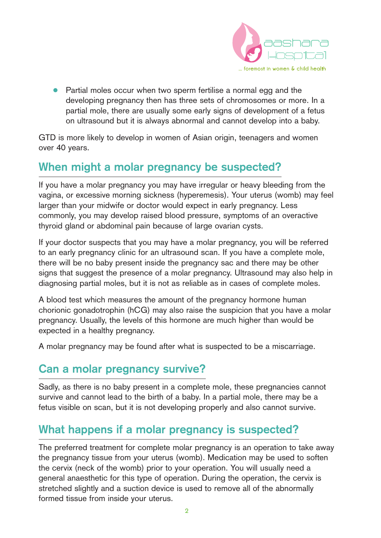

● Partial moles occur when two sperm fertilise a normal egg and the developing pregnancy then has three sets of chromosomes or more. In a partial mole, there are usually some early signs of development of a fetus on ultrasound but it is always abnormal and cannot develop into a baby.

GTD is more likely to develop in women of Asian origin, teenagers and women over 40 years.

### **When might a molar pregnancy be suspected?**

If you have a molar pregnancy you may have irregular or heavy bleeding from the vagina, or excessive morning sickness (hyperemesis). Your uterus (womb) may feel larger than your midwife or doctor would expect in early pregnancy. Less commonly, you may develop raised blood pressure, symptoms of an overactive thyroid gland or abdominal pain because of large ovarian cysts.

If your doctor suspects that you may have a molar pregnancy, you will be referred to an early pregnancy clinic for an ultrasound scan. If you have a complete mole, there will be no baby present inside the pregnancy sac and there may be other signs that suggest the presence of a molar pregnancy. Ultrasound may also help in diagnosing partial moles, but it is not as reliable as in cases of complete moles.

A blood test which measures the amount of the pregnancy hormone human chorionic gonadotrophin (hCG) may also raise the suspicion that you have a molar pregnancy. Usually, the levels of this hormone are much higher than would be expected in a healthy pregnancy.

A molar pregnancy may be found after what is suspected to be a miscarriage.

#### **Can a molar pregnancy survive?**

Sadly, as there is no baby present in a complete mole, these pregnancies cannot survive and cannot lead to the birth of a baby. In a partial mole, there may be a fetus visible on scan, but it is not developing properly and also cannot survive.

### **What happens if a molar pregnancy is suspected?**

The preferred treatment for complete molar pregnancy is an operation to take away the pregnancy tissue from your uterus (womb). Medication may be used to soften the cervix (neck of the womb) prior to your operation. You will usually need a general anaesthetic for this type of operation. During the operation, the cervix is stretched slightly and a suction device is used to remove all of the abnormally formed tissue from inside your uterus.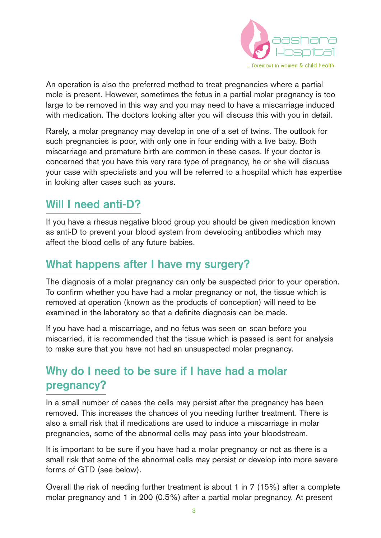

An operation is also the preferred method to treat pregnancies where a partial mole is present. However, sometimes the fetus in a partial molar pregnancy is too large to be removed in this way and you may need to have a miscarriage induced with medication. The doctors looking after you will discuss this with you in detail.

Rarely, a molar pregnancy may develop in one of a set of twins. The outlook for such pregnancies is poor, with only one in four ending with a live baby. Both miscarriage and premature birth are common in these cases. If your doctor is concerned that you have this very rare type of pregnancy, he or she will discuss your case with specialists and you will be referred to a hospital which has expertise in looking after cases such as yours.

### **Will I need anti-D?**

If you have a rhesus negative blood group you should be given medication known as anti-D to prevent your blood system from developing antibodies which may affect the blood cells of any future babies.

### **What happens after I have my surgery?**

The diagnosis of a molar pregnancy can only be suspected prior to your operation. To confirm whether you have had a molar pregnancy or not, the tissue which is removed at operation (known as the products of conception) will need to be examined in the laboratory so that a definite diagnosis can be made.

If you have had a miscarriage, and no fetus was seen on scan before you miscarried, it is recommended that the tissue which is passed is sent for analysis to make sure that you have not had an unsuspected molar pregnancy.

## **Why do I need to be sure if I have had a molar pregnancy?**

In a small number of cases the cells may persist after the pregnancy has been removed. This increases the chances of you needing further treatment. There is also a small risk that if medications are used to induce a miscarriage in molar pregnancies, some of the abnormal cells may pass into your bloodstream.

It is important to be sure if you have had a molar pregnancy or not as there is a small risk that some of the abnormal cells may persist or develop into more severe forms of GTD (see below).

Overall the risk of needing further treatment is about 1 in 7 (15%) after a complete molar pregnancy and 1 in 200 (0.5%) after a partial molar pregnancy. At present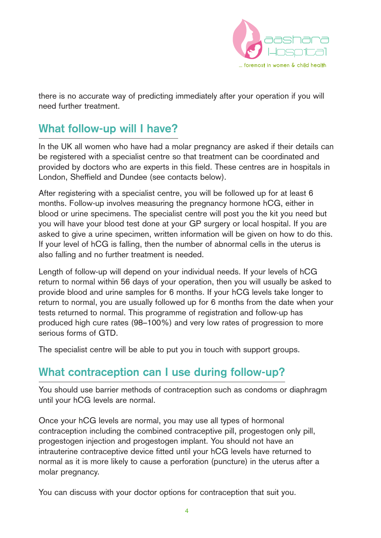

there is no accurate way of predicting immediately after your operation if you will need further treatment.

### **What follow-up will I have?**

In the UK all women who have had a molar pregnancy are asked if their details can be registered with a specialist centre so that treatment can be coordinated and provided by doctors who are experts in this field. These centres are in hospitals in London, Sheffield and Dundee (see contacts below).

After registering with a specialist centre, you will be followed up for at least 6 months. Follow-up involves measuring the pregnancy hormone hCG, either in blood or urine specimens. The specialist centre will post you the kit you need but you will have your blood test done at your GP surgery or local hospital. If you are asked to give a urine specimen, written information will be given on how to do this. If your level of hCG is falling, then the number of abnormal cells in the uterus is also falling and no further treatment is needed.

Length of follow-up will depend on your individual needs. If your levels of hCG return to normal within 56 days of your operation, then you will usually be asked to provide blood and urine samples for 6 months. If your hCG levels take longer to return to normal, you are usually followed up for 6 months from the date when your tests returned to normal. This programme of registration and follow-up has produced high cure rates (98–100%) and very low rates of progression to more serious forms of GTD.

The specialist centre will be able to put you in touch with support groups.

### **What contraception can I use during follow-up?**

You should use barrier methods of contraception such as condoms or diaphragm until your hCG levels are normal.

Once your hCG levels are normal, you may use all types of hormonal contraception including the combined contraceptive pill, progestogen only pill, progestogen injection and progestogen implant. You should not have an intrauterine contraceptive device fitted until your hCG levels have returned to normal as it is more likely to cause a perforation (puncture) in the uterus after a molar pregnancy.

You can discuss with your doctor options for contraception that suit you.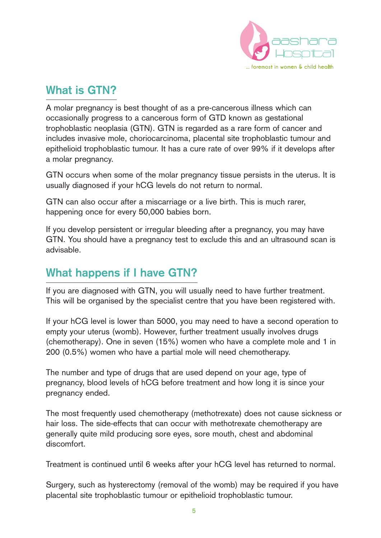

### **What is GTN?**

A molar pregnancy is best thought of as a pre-cancerous illness which can occasionally progress to a cancerous form of GTD known as gestational trophoblastic neoplasia (GTN). GTN is regarded as a rare form of cancer and includes invasive mole, choriocarcinoma, placental site trophoblastic tumour and epithelioid trophoblastic tumour. It has a cure rate of over 99% if it develops after a molar pregnancy.

GTN occurs when some of the molar pregnancy tissue persists in the uterus. It is usually diagnosed if your hCG levels do not return to normal.

GTN can also occur after a miscarriage or a live birth. This is much rarer, happening once for every 50,000 babies born.

If you develop persistent or irregular bleeding after a pregnancy, you may have GTN. You should have a pregnancy test to exclude this and an ultrasound scan is advisable.

### **What happens if I have GTN?**

If you are diagnosed with GTN, you will usually need to have further treatment. This will be organised by the specialist centre that you have been registered with.

If your hCG level is lower than 5000, you may need to have a second operation to empty your uterus (womb). However, further treatment usually involves drugs (chemotherapy). One in seven (15%) women who have a complete mole and 1 in 200 (0.5%) women who have a partial mole will need chemotherapy.

The number and type of drugs that are used depend on your age, type of pregnancy, blood levels of hCG before treatment and how long it is since your pregnancy ended.

The most frequently used chemotherapy (methotrexate) does not cause sickness or hair loss. The side-effects that can occur with methotrexate chemotherapy are generally quite mild producing sore eyes, sore mouth, chest and abdominal discomfort.

Treatment is continued until 6 weeks after your hCG level has returned to normal.

Surgery, such as hysterectomy (removal of the womb) may be required if you have placental site trophoblastic tumour or epithelioid trophoblastic tumour.